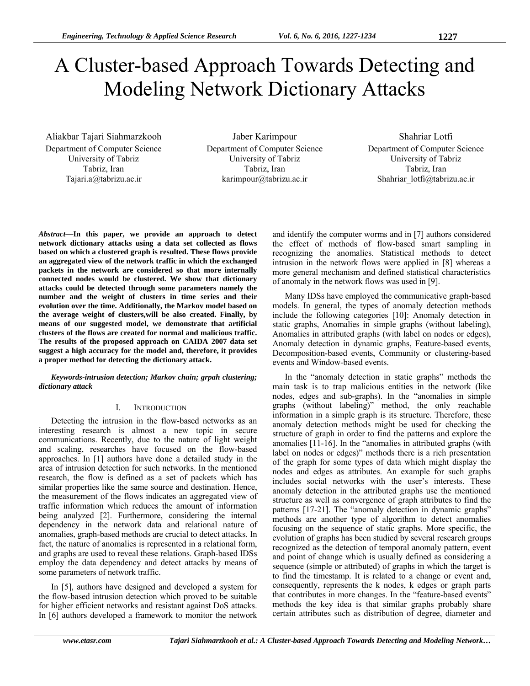# A Cluster-based Approach Towards Detecting and Modeling Network Dictionary Attacks

Aliakbar Tajari Siahmarzkooh Department of Computer Science University of Tabriz Tabriz, Iran Tajari.a@tabrizu.ac.ir

Jaber Karimpour Department of Computer Science University of Tabriz Tabriz, Iran karimpour@tabrizu.ac.ir

Shahriar Lotfi Department of Computer Science University of Tabriz Tabriz, Iran Shahriar\_lotfi@tabrizu.ac.ir

*Abstract***—In this paper, we provide an approach to detect network dictionary attacks using a data set collected as flows based on which a clustered graph is resulted. These flows provide an aggregated view of the network traffic in which the exchanged packets in the network are considered so that more internally connected nodes would be clustered. We show that dictionary attacks could be detected through some parameters namely the number and the weight of clusters in time series and their evolution over the time. Additionally, the Markov model based on the average weight of clusters,will be also created. Finally, by means of our suggested model, we demonstrate that artificial clusters of the flows are created for normal and malicious traffic. The results of the proposed approach on CAIDA 2007 data set suggest a high accuracy for the model and, therefore, it provides a proper method for detecting the dictionary attack.** 

*Keywords-intrusion detection; Markov chain; grpah clustering; dictionary attack* 

# I. INTRODUCTION

Detecting the intrusion in the flow-based networks as an interesting research is almost a new topic in secure communications. Recently, due to the nature of light weight and scaling, researches have focused on the flow-based approaches. In [1] authors have done a detailed study in the area of intrusion detection for such networks. In the mentioned research, the flow is defined as a set of packets which has similar properties like the same source and destination. Hence, the measurement of the flows indicates an aggregated view of traffic information which reduces the amount of information being analyzed [2]. Furthermore, considering the internal dependency in the network data and relational nature of anomalies, graph-based methods are crucial to detect attacks. In fact, the nature of anomalies is represented in a relational form, and graphs are used to reveal these relations. Graph-based IDSs employ the data dependency and detect attacks by means of some parameters of network traffic.

In [5], authors have designed and developed a system for the flow-based intrusion detection which proved to be suitable for higher efficient networks and resistant against DoS attacks. In [6] authors developed a framework to monitor the network

and identify the computer worms and in [7] authors considered the effect of methods of flow-based smart sampling in recognizing the anomalies. Statistical methods to detect intrusion in the network flows were applied in [8] whereas a more general mechanism and defined statistical characteristics of anomaly in the network flows was used in [9].

Many IDSs have employed the communicative graph-based models. In general, the types of anomaly detection methods include the following categories [10]: Anomaly detection in static graphs, Anomalies in simple graphs (without labeling), Anomalies in attributed graphs (with label on nodes or edges), Anomaly detection in dynamic graphs, Feature-based events, Decomposition-based events, Community or clustering-based events and Window-based events.

In the "anomaly detection in static graphs" methods the main task is to trap malicious entities in the network (like nodes, edges and sub-graphs). In the "anomalies in simple graphs (without labeling)" method, the only reachable information in a simple graph is its structure. Therefore, these anomaly detection methods might be used for checking the structure of graph in order to find the patterns and explore the anomalies [11-16]. In the "anomalies in attributed graphs (with label on nodes or edges)" methods there is a rich presentation of the graph for some types of data which might display the nodes and edges as attributes. An example for such graphs includes social networks with the user's interests. These anomaly detection in the attributed graphs use the mentioned structure as well as convergence of graph attributes to find the patterns [17-21]. The "anomaly detection in dynamic graphs" methods are another type of algorithm to detect anomalies focusing on the sequence of static graphs. More specific, the evolution of graphs has been studied by several research groups recognized as the detection of temporal anomaly pattern, event and point of change which is usually defined as considering a sequence (simple or attributed) of graphs in which the target is to find the timestamp. It is related to a change or event and, consequently, represents the k nodes, k edges or graph parts that contributes in more changes. In the "feature-based events" methods the key idea is that similar graphs probably share certain attributes such as distribution of degree, diameter and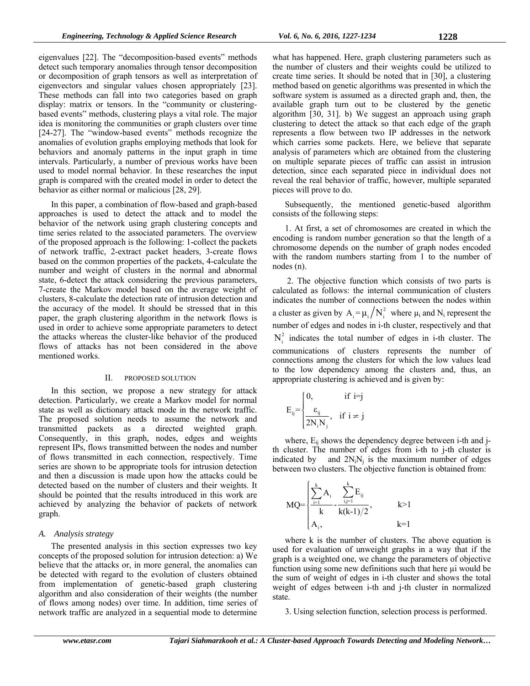eigenvalues [22]. The "decomposition-based events" methods detect such temporary anomalies through tensor decomposition or decomposition of graph tensors as well as interpretation of eigenvectors and singular values chosen appropriately [23]. These methods can fall into two categories based on graph display: matrix or tensors. In the "community or clusteringbased events" methods, clustering plays a vital role. The major idea is monitoring the communities or graph clusters over time [24-27]. The "window-based events" methods recognize the anomalies of evolution graphs employing methods that look for behaviors and anomaly patterns in the input graph in time intervals. Particularly, a number of previous works have been used to model normal behavior. In these researches the input graph is compared with the created model in order to detect the behavior as either normal or malicious [28, 29].

In this paper, a combination of flow-based and graph-based approaches is used to detect the attack and to model the behavior of the network using graph clustering concepts and time series related to the associated parameters. The overview of the proposed approach is the following: 1-collect the packets of network traffic, 2-extract packet headers, 3-create flows based on the common properties of the packets, 4-calculate the number and weight of clusters in the normal and abnormal state, 6-detect the attack considering the previous parameters, 7-create the Markov model based on the average weight of clusters, 8-calculate the detection rate of intrusion detection and the accuracy of the model. It should be stressed that in this paper, the graph clustering algorithm in the network flows is used in order to achieve some appropriate parameters to detect the attacks whereas the cluster-like behavior of the produced flows of attacks has not been considered in the above mentioned works.

#### II. PROPOSED SOLUTION

In this section, we propose a new strategy for attack detection. Particularly, we create a Markov model for normal state as well as dictionary attack mode in the network traffic. The proposed solution needs to assume the network and transmitted packets as a directed weighted graph. Consequently, in this graph, nodes, edges and weights represent IPs, flows transmitted between the nodes and number of flows transmitted in each connection, respectively. Time series are shown to be appropriate tools for intrusion detection and then a discussion is made upon how the attacks could be detected based on the number of clusters and their weights. It should be pointed that the results introduced in this work are achieved by analyzing the behavior of packets of network graph.

#### *A. Analysis strategy*

The presented analysis in this section expresses two key concepts of the proposed solution for intrusion detection: a) We believe that the attacks or, in more general, the anomalies can be detected with regard to the evolution of clusters obtained from implementation of genetic-based graph clustering algorithm and also consideration of their weights (the number of flows among nodes) over time. In addition, time series of network traffic are analyzed in a sequential mode to determine

what has happened. Here, graph clustering parameters such as the number of clusters and their weights could be utilized to create time series. It should be noted that in [30], a clustering method based on genetic algorithms was presented in which the software system is assumed as a directed graph and, then, the available graph turn out to be clustered by the genetic algorithm [30, 31]. b) We suggest an approach using graph clustering to detect the attack so that each edge of the graph represents a flow between two IP addresses in the network which carries some packets. Here, we believe that separate analysis of parameters which are obtained from the clustering on multiple separate pieces of traffic can assist in intrusion detection, since each separated piece in individual does not reveal the real behavior of traffic, however, multiple separated pieces will prove to do.

Subsequently, the mentioned genetic-based algorithm consists of the following steps:

1. At first, a set of chromosomes are created in which the encoding is random number generation so that the length of a chromosome depends on the number of graph nodes encoded with the random numbers starting from 1 to the number of nodes (n).

 2. The objective function which consists of two parts is calculated as follows: the internal communication of clusters indicates the number of connections between the nodes within a cluster as given by  $A_i = \mu_i / N_i^2$  where  $\mu_i$  and  $N_i$  represent the number of edges and nodes in i-th cluster, respectively and that  $N_i^2$  indicates the total number of edges in i-th cluster. The communications of clusters represents the number of connections among the clusters for which the low values lead to the low dependency among the clusters and, thus, an appropriate clustering is achieved and is given by:

$$
E_{ij} = \begin{cases} 0, & \text{if } i = j \\ \frac{\varepsilon_{ij}}{2N_i N_j}, & \text{if } i \neq j \end{cases}
$$

where,  $E_{ii}$  shows the dependency degree between i-th and jth cluster. The number of edges from i-th to j-th cluster is indicated by and  $2N_iN_i$  is the maximum number of edges between two clusters. The objective function is obtained from:

$$
MQ = \begin{cases} \sum_{i=1}^{k} A_i & \sum_{i,j=1}^{k} E_{ij} \\ \frac{k}{k} & k(k-1)/2 \end{cases}, \qquad k>1
$$

where k is the number of clusters. The above equation is used for evaluation of unweight graphs in a way that if the graph is a weighted one, we change the parameters of objective function using some new definitions such that here us would be the sum of weight of edges in i-th cluster and shows the total weight of edges between i-th and j-th cluster in normalized state.

3. Using selection function, selection process is performed.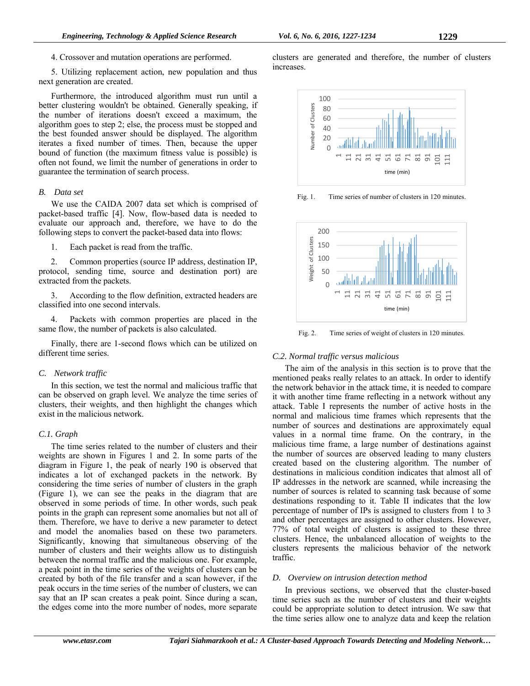5. Utilizing replacement action, new population and thus next generation are created.

Furthermore, the introduced algorithm must run until a better clustering wouldn't be obtained. Generally speaking, if the number of iterations doesn't exceed a maximum, the algorithm goes to step 2; else, the process must be stopped and the best founded answer should be displayed. The algorithm iterates a fixed number of times. Then, because the upper bound of function (the maximum fitness value is possible) is often not found, we limit the number of generations in order to guarantee the termination of search process.

# *B. Data set*

We use the CAIDA 2007 data set which is comprised of packet-based traffic [4]. Now, flow-based data is needed to evaluate our approach and, therefore, we have to do the following steps to convert the packet-based data into flows:

1. Each packet is read from the traffic.

2. Common properties (source IP address, destination IP, protocol, sending time, source and destination port) are extracted from the packets.

3. According to the flow definition, extracted headers are classified into one second intervals.

4. Packets with common properties are placed in the same flow, the number of packets is also calculated.

Finally, there are 1-second flows which can be utilized on different time series.

# *C. Network traffic*

In this section, we test the normal and malicious traffic that can be observed on graph level. We analyze the time series of clusters, their weights, and then highlight the changes which exist in the malicious network.

# *C.1. Graph*

The time series related to the number of clusters and their weights are shown in Figures 1 and 2. In some parts of the diagram in Figure 1, the peak of nearly 190 is observed that indicates a lot of exchanged packets in the network. By considering the time series of number of clusters in the graph (Figure 1), we can see the peaks in the diagram that are observed in some periods of time. In other words, such peak points in the graph can represent some anomalies but not all of them. Therefore, we have to derive a new parameter to detect and model the anomalies based on these two parameters. Significantly, knowing that simultaneous observing of the number of clusters and their weights allow us to distinguish between the normal traffic and the malicious one. For example, a peak point in the time series of the weights of clusters can be created by both of the file transfer and a scan however, if the peak occurs in the time series of the number of clusters, we can say that an IP scan creates a peak point. Since during a scan, the edges come into the more number of nodes, more separate

clusters are generated and therefore, the number of clusters increases.



Fig. 1. Time series of number of clusters in 120 minutes.



Fig. 2. Time series of weight of clusters in 120 minutes.

# *C.2. Normal traffic versus malicious*

The aim of the analysis in this section is to prove that the mentioned peaks really relates to an attack. In order to identify the network behavior in the attack time, it is needed to compare it with another time frame reflecting in a network without any attack. Table I represents the number of active hosts in the normal and malicious time frames which represents that the number of sources and destinations are approximately equal values in a normal time frame. On the contrary, in the malicious time frame, a large number of destinations against the number of sources are observed leading to many clusters created based on the clustering algorithm. The number of destinations in malicious condition indicates that almost all of IP addresses in the network are scanned, while increasing the number of sources is related to scanning task because of some destinations responding to it. Table II indicates that the low percentage of number of IPs is assigned to clusters from 1 to 3 and other percentages are assigned to other clusters. However, 77% of total weight of clusters is assigned to these three clusters. Hence, the unbalanced allocation of weights to the clusters represents the malicious behavior of the network traffic.

# *D. Overview on intrusion detection method*

In previous sections, we observed that the cluster-based time series such as the number of clusters and their weights could be appropriate solution to detect intrusion. We saw that the time series allow one to analyze data and keep the relation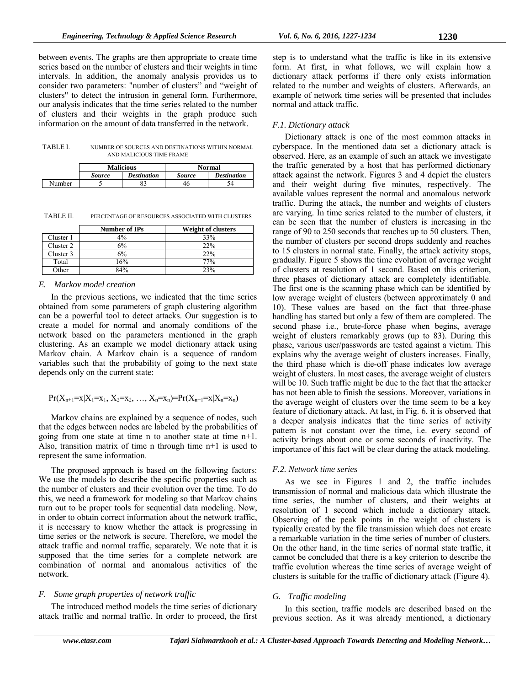between events. The graphs are then appropriate to create time series based on the number of clusters and their weights in time intervals. In addition, the anomaly analysis provides us to consider two parameters: "number of clusters" and "weight of clusters" to detect the intrusion in general form. Furthermore, our analysis indicates that the time series related to the number of clusters and their weights in the graph produce such information on the amount of data transferred in the network.

TABLE I. NUMBER OF SOURCES AND DESTINATIONS WITHIN NORMAL AND MALICIOUS TIME FRAME

|        | <b>Malicious</b> |                    | Normal        |                    |
|--------|------------------|--------------------|---------------|--------------------|
|        | <i>Source</i>    | <b>Destination</b> | <b>Source</b> | <b>Destination</b> |
| Number |                  | 83                 | 46            | 54                 |

TABLE II. PERCENTAGE OF RESOURCES ASSOCIATED WITH CLUSTERS

|           | Number of IPs | <b>Weight of clusters</b> |
|-----------|---------------|---------------------------|
| Cluster 1 | $4\%$         | 33%                       |
| Cluster 2 | 6%            | 22%                       |
| Cluster 3 | 6%            | 22%                       |
| Total     | 16%           | 77%                       |
| Other     | 84%           | 23%                       |

# *E. Markov model creation*

In the previous sections, we indicated that the time series obtained from some parameters of graph clustering algorithm can be a powerful tool to detect attacks. Our suggestion is to create a model for normal and anomaly conditions of the network based on the parameters mentioned in the graph clustering. As an example we model dictionary attack using Markov chain. A Markov chain is a sequence of random variables such that the probability of going to the next state depends only on the current state:

$$
Pr(X_{n+1}=x|X_1=x_1, X_2=x_2, ..., X_n=x_n)=Pr(X_{n+1}=x|X_n=x_n)
$$

Markov chains are explained by a sequence of nodes, such that the edges between nodes are labeled by the probabilities of going from one state at time n to another state at time n+1. Also, transition matrix of time n through time n+1 is used to represent the same information.

The proposed approach is based on the following factors: We use the models to describe the specific properties such as the number of clusters and their evolution over the time. To do this, we need a framework for modeling so that Markov chains turn out to be proper tools for sequential data modeling. Now, in order to obtain correct information about the network traffic, it is necessary to know whether the attack is progressing in time series or the network is secure. Therefore, we model the attack traffic and normal traffic, separately. We note that it is supposed that the time series for a complete network are combination of normal and anomalous activities of the network.

# *F. Some graph properties of network traffic*

The introduced method models the time series of dictionary attack traffic and normal traffic. In order to proceed, the first

# *F.1. Dictionary attack*

normal and attack traffic.

Dictionary attack is one of the most common attacks in cyberspace. In the mentioned data set a dictionary attack is observed. Here, as an example of such an attack we investigate the traffic generated by a host that has performed dictionary attack against the network. Figures 3 and 4 depict the clusters and their weight during five minutes, respectively. The available values represent the normal and anomalous network traffic. During the attack, the number and weights of clusters are varying. In time series related to the number of clusters, it can be seen that the number of clusters is increasing in the range of 90 to 250 seconds that reaches up to 50 clusters. Then, the number of clusters per second drops suddenly and reaches to 15 clusters in normal state. Finally, the attack activity stops, gradually. Figure 5 shows the time evolution of average weight of clusters at resolution of 1 second. Based on this criterion, three phases of dictionary attack are completely identifiable. The first one is the scanning phase which can be identified by low average weight of clusters (between approximately 0 and 10). These values are based on the fact that three-phase handling has started but only a few of them are completed. The second phase i.e., brute-force phase when begins, average weight of clusters remarkably grows (up to 83). During this phase, various user/passwords are tested against a victim. This explains why the average weight of clusters increases. Finally, the third phase which is die-off phase indicates low average weight of clusters. In most cases, the average weight of clusters will be 10. Such traffic might be due to the fact that the attacker has not been able to finish the sessions. Moreover, variations in the average weight of clusters over the time seem to be a key feature of dictionary attack. At last, in Fig. 6, it is observed that a deeper analysis indicates that the time series of activity pattern is not constant over the time, i.e. every second of activity brings about one or some seconds of inactivity. The importance of this fact will be clear during the attack modeling.

# *F.2. Network time series*

As we see in Figures 1 and 2, the traffic includes transmission of normal and malicious data which illustrate the time series, the number of clusters, and their weights at resolution of 1 second which include a dictionary attack. Observing of the peak points in the weight of clusters is typically created by the file transmission which does not create a remarkable variation in the time series of number of clusters. On the other hand, in the time series of normal state traffic, it cannot be concluded that there is a key criterion to describe the traffic evolution whereas the time series of average weight of clusters is suitable for the traffic of dictionary attack (Figure 4).

# *G. Traffic modeling*

In this section, traffic models are described based on the previous section. As it was already mentioned, a dictionary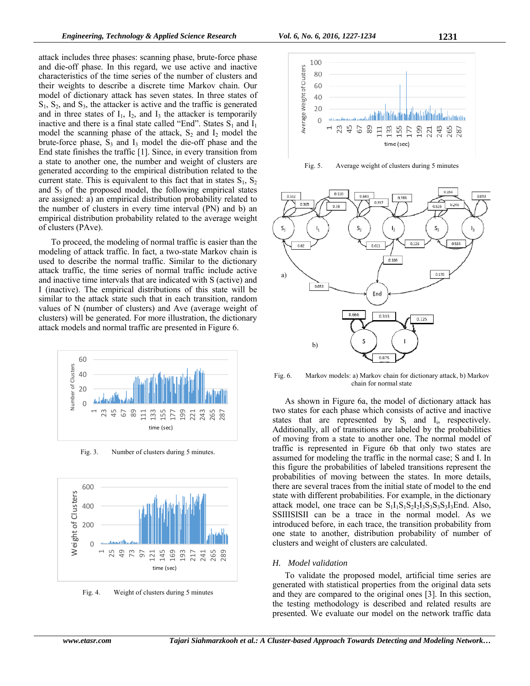attack includes three phases: scanning phase, brute-force phase and die-off phase. In this regard, we use active and inactive characteristics of the time series of the number of clusters and their weights to describe a discrete time Markov chain. Our model of dictionary attack has seven states. In three states of  $S_1$ ,  $S_2$ , and  $S_3$ , the attacker is active and the traffic is generated and in three states of  $I_1$ ,  $I_2$ , and  $I_3$  the attacker is temporarily inactive and there is a final state called "End". States  $S_1$  and  $I_1$ model the scanning phase of the attack,  $S_2$  and  $I_2$  model the brute-force phase,  $S_3$  and  $I_3$  model the die-off phase and the End state finishes the traffic [1]. Since, in every transition from a state to another one, the number and weight of clusters are generated according to the empirical distribution related to the current state. This is equivalent to this fact that in states  $S_1$ ,  $S_2$ and  $S_3$  of the proposed model, the following empirical states are assigned: a) an empirical distribution probability related to the number of clusters in every time interval (PN) and b) an empirical distribution probability related to the average weight of clusters (PAve).

To proceed, the modeling of normal traffic is easier than the modeling of attack traffic. In fact, a two-state Markov chain is used to describe the normal traffic. Similar to the dictionary attack traffic, the time series of normal traffic include active and inactive time intervals that are indicated with S (active) and I (inactive). The empirical distributions of this state will be similar to the attack state such that in each transition, random values of N (number of clusters) and Ave (average weight of clusters) will be generated. For more illustration, the dictionary attack models and normal traffic are presented in Figure 6.



Fig. 3. Number of clusters during 5 minutes.







Fig. 5. Average weight of clusters during 5 minutes



Fig. 6. Markov models: a) Markov chain for dictionary attack, b) Markov chain for normal state

As shown in Figure 6a, the model of dictionary attack has two states for each phase which consists of active and inactive states that are represented by  $S_i$  and  $I_i$ , respectively. Additionally, all of transitions are labeled by the probabilities of moving from a state to another one. The normal model of traffic is represented in Figure 6b that only two states are assumed for modeling the traffic in the normal case; S and I. In this figure the probabilities of labeled transitions represent the probabilities of moving between the states. In more details, there are several traces from the initial state of model to the end state with different probabilities. For example, in the dictionary attack model, one trace can be  $S_1I_1S_1S_2I_2I_3S_3S_3I_3End$ . Also, SSIIISISII can be a trace in the normal model. As we introduced before, in each trace, the transition probability from one state to another, distribution probability of number of clusters and weight of clusters are calculated.

#### *H. Model validation*

To validate the proposed model, artificial time series are generated with statistical properties from the original data sets and they are compared to the original ones [3]. In this section, the testing methodology is described and related results are presented. We evaluate our model on the network traffic data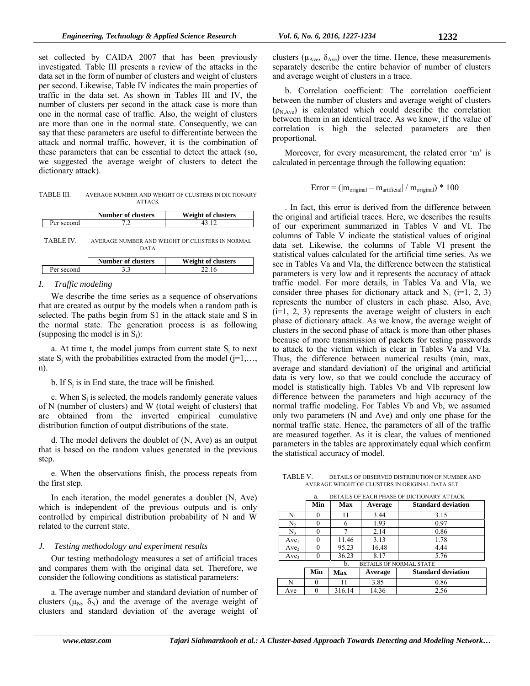set collected by CAIDA 2007 that has been previously investigated. Table III presents a review of the attacks in the data set in the form of number of clusters and weight of clusters per second. Likewise, Table IV indicates the main properties of traffic in the data set. As shown in Tables III and IV, the number of clusters per second in the attack case is more than one in the normal case of traffic. Also, the weight of clusters are more than one in the normal state. Consequently, we can say that these parameters are useful to differentiate between the attack and normal traffic, however, it is the combination of these parameters that can be essential to detect the attack (so, we suggested the average weight of clusters to detect the dictionary attack).

TABLE III. AVERAGE NUMBER AND WEIGHT OF CLUSTERS IN DICTIONARY ATTACK

|            | <b>Number of clusters</b> | Weight of clusters |
|------------|---------------------------|--------------------|
| Per second |                           |                    |

TABLE IV. AVERAGE NUMBER AND WEIGHT OF CLUSTERS IN NORMAL DATA

|            | <b>Number of clusters</b> | Weight of clusters |
|------------|---------------------------|--------------------|
| Per second |                           |                    |
|            |                           |                    |

# *I. Traffic modeling*

We describe the time series as a sequence of observations that are created as output by the models when a random path is selected. The paths begin from S1 in the attack state and S in the normal state. The generation process is as following (supposing the model is in  $S_i$ ):

a. At time t, the model jumps from current state  $S_i$  to next state  $S_i$  with the probabilities extracted from the model ( $j=1,\ldots$ , n).

b. If  $S_i$  is in End state, the trace will be finished.

c. When  $S_i$  is selected, the models randomly generate values of N (number of clusters) and W (total weight of clusters) that are obtained from the inverted empirical cumulative distribution function of output distributions of the state.

d. The model delivers the doublet of (N, Ave) as an output that is based on the random values generated in the previous step.

e. When the observations finish, the process repeats from the first step.

In each iteration, the model generates a doublet (N, Ave) which is independent of the previous outputs and is only controlled by empirical distribution probability of N and W related to the current state.

# *J. Testing methodology and experiment results*

Our testing methodology measures a set of artificial traces and compares them with the original data set. Therefore, we consider the following conditions as statistical parameters:

a. The average number and standard deviation of number of clusters ( $\mu_N$ ,  $\delta_N$ ) and the average of the average weight of clusters and standard deviation of the average weight of clusters ( $\mu_{\text{Ave}}$ ,  $\delta_{\text{Ave}}$ ) over the time. Hence, these measurements separately describe the entire behavior of number of clusters and average weight of clusters in a trace.

b. Correlation coefficient: The correlation coefficient between the number of clusters and average weight of clusters  $(p_{N|Ave})$  is calculated which could describe the correlation between them in an identical trace. As we know, if the value of correlation is high the selected parameters are then proportional.

Moreover, for every measurement, the related error 'm' is calculated in percentage through the following equation:

$$
Error = (|m_{original} - m_{artificial}| / m_{original}) * 100
$$

. In fact, this error is derived from the difference between the original and artificial traces. Here, we describes the results of our experiment summarized in Tables V and VI. The columns of Table V indicate the statistical values of original data set. Likewise, the columns of Table VI present the statistical values calculated for the artificial time series. As we see in Tables Va and VIa, the difference between the statistical parameters is very low and it represents the accuracy of attack traffic model. For more details, in Tables Va and VIa, we consider three phases for dictionary attack and  $N_i$  (i=1, 2, 3) represents the number of clusters in each phase. Also, Ave<sub>i</sub>  $(i=1, 2, 3)$  represents the average weight of clusters in each phase of dictionary attack. As we know, the average weight of clusters in the second phase of attack is more than other phases because of more transmission of packets for testing passwords to attack to the victim which is clear in Tables Va and VIa. Thus, the difference between numerical results (min, max, average and standard deviation) of the original and artificial data is very low, so that we could conclude the accuracy of model is statistically high. Tables Vb and VIb represent low difference between the parameters and high accuracy of the normal traffic modeling. For Tables Vb and Vb, we assumed only two parameters (N and Ave) and only one phase for the normal traffic state. Hence, the parameters of all of the traffic are measured together. As it is clear, the values of mentioned parameters in the tables are approximately equal which confirm the statistical accuracy of model.

TABLE V. DETAILS OF OBSERVED DISTRIBUTION OF NUMBER AND AVERAGE WEIGHT OF CLUSTERS IN ORIGINAL DATA SET

|                  | DETAILS OF EACH PHASE OF DICTIONARY ATTACK<br>a. |            |         |                                |
|------------------|--------------------------------------------------|------------|---------|--------------------------------|
|                  | Min                                              | <b>Max</b> | Average | <b>Standard deviation</b>      |
| N.               | 0                                                | 11         | 3.44    | 3.15                           |
| N,               | 0                                                | 6          | 1.93    | 0.97                           |
| N,               | 0                                                |            | 2.14    | 0.86                           |
| Ave <sub>1</sub> | 0                                                | 11.46      | 3.13    | 1.78                           |
| Ave <sub>2</sub> | 0                                                | 95.23      | 16.48   | 4.44                           |
| Ave <sub>3</sub> | 0                                                | 36.23      | 8.17    | 5.76                           |
|                  |                                                  | b.         |         | <b>BETAILS OF NORMAL STATE</b> |
|                  | Min                                              | Max        | Average | <b>Standard deviation</b>      |
| N                |                                                  | 11         | 3.85    | 0.86                           |
| Ave              |                                                  | 316.14     | 14.36   | 2.56                           |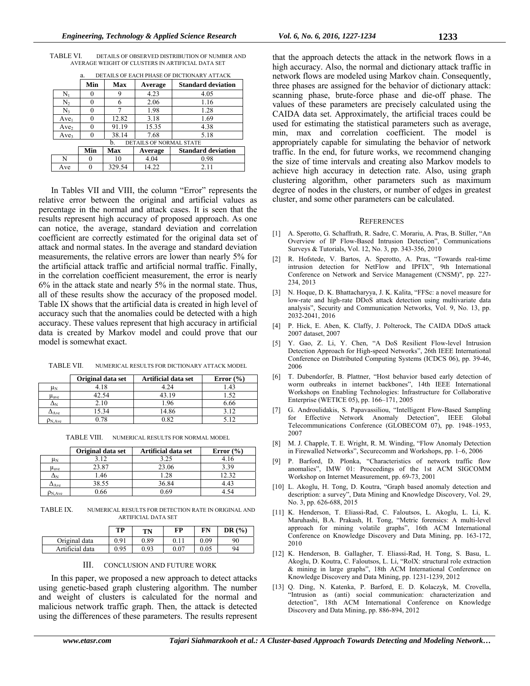| TABLE VI. |  |                                                   | DETAILS OF OBSERVED DISTRIBUTION OF NUMBER AND |
|-----------|--|---------------------------------------------------|------------------------------------------------|
|           |  | AVERAGE WEIGHT OF CLUSTERS IN ARTIFICIAL DATA SET |                                                |

a. DETAILS OF EACH PHASE OF DICTIONARY ATTACK

|                  | Min | Max    | Average                 | <b>Standard deviation</b> |
|------------------|-----|--------|-------------------------|---------------------------|
| Nı               |     | 9      | 4.23                    | 4.05                      |
| N <sub>2</sub>   |     | 6      | 2.06                    | 1.16                      |
| $N_{3}$          |     |        | 1.98                    | 1.28                      |
| $Ave_1$          |     | 12.82  | 3.18                    | 1.69                      |
| Ave <sub>2</sub> |     | 91.19  | 15.35                   | 4.38                      |
| Ave <sub>3</sub> |     | 38.14  | 7.68                    | 5.18                      |
|                  |     | h.     | DETAILS OF NORMAL STATE |                           |
|                  | Min | Max    | Average                 | <b>Standard deviation</b> |
| N                |     | 10     | 4.04                    | 0.98                      |
| Ave              |     | 329.54 | 14.22                   | 2.11                      |

In Tables VII and VIII, the column "Error" represents the relative error between the original and artificial values as percentage in the normal and attack cases. It is seen that the results represent high accuracy of proposed approach. As one can notice, the average, standard deviation and correlation coefficient are correctly estimated for the original data set of attack and normal states. In the average and standard deviation measurements, the relative errors are lower than nearly 5% for the artificial attack traffic and artificial normal traffic. Finally, in the correlation coefficient measurement, the error is nearly 6% in the attack state and nearly 5% in the normal state. Thus, all of these results show the accuracy of the proposed model. Table IX shows that the artificial data is created in high level of accuracy such that the anomalies could be detected with a high accuracy. These values represent that high accuracy in artificial data is created by Markov model and could prove that our model is somewhat exact.

TABLE VII. NUMERICAL RESULTS FOR DICTIONARY ATTACK MODEL

|                  | Original data set | Artificial data set | Error $(\% )$ |
|------------------|-------------------|---------------------|---------------|
| $\mu_N$          | 4.18              | 4.24                |               |
| Have             | 42.54             | 43.19               | .52           |
| $\Delta_{\rm N}$ | 2.10              | 1.96                | 6.66          |
| $\Delta$ Ave     | 15.34             | 14.86               | 3.12          |
| $D_{N, Ave}$     | .78               | 0.82                | 5.12          |

TABLE VIII. NUMERICAL RESULTS FOR NORMAL MODEL

|                         | Original data set | Artificial data set | Error $(\% )$ |
|-------------------------|-------------------|---------------------|---------------|
| $\mu_{\rm N}$           | 3.12              | 3.25                | 4.16          |
| $\mu_{\text{ave}}$      | 23.87             | 23.06               | 3.39          |
| ΔΝ                      | 46.،              | 1.28                | 12.32         |
| $\Delta$ Ave            | 38.55             | 36.84               | 4.43          |
| $N$ <sub>N</sub> $A$ ve | 0.66              | 0.69                |               |

TABLE IX. NUMERICAL RESULTS FOR DETECTION RATE IN ORIGINAL AND ARTIFICIAL DATA SET

|                 | TP   | TN   | FP   | FN   | DR $(%)$ |
|-----------------|------|------|------|------|----------|
| Original data   | 0.91 | 0.89 | 0.11 | 0.09 | 90       |
| Artificial data | 0.95 | 0.93 | 0.07 | 0.05 | 94       |

| III. | <b>CONCLUSION AND FUTURE WORK</b> |
|------|-----------------------------------|
|      |                                   |

In this paper, we proposed a new approach to detect attacks using genetic-based graph clustering algorithm. The number and weight of clusters is calculated for the normal and malicious network traffic graph. Then, the attack is detected using the differences of these parameters. The results represent that the approach detects the attack in the network flows in a high accuracy. Also, the normal and dictionary attack traffic in network flows are modeled using Markov chain. Consequently, three phases are assigned for the behavior of dictionary attack: scanning phase, brute-force phase and die-off phase. The values of these parameters are precisely calculated using the CAIDA data set. Approximately, the artificial traces could be used for estimating the statistical parameters such as average, min, max and correlation coefficient. The model is appropriately capable for simulating the behavior of network traffic. In the end, for future works, we recommend changing the size of time intervals and creating also Markov models to achieve high accuracy in detection rate. Also, using graph clustering algorithm, other parameters such as maximum degree of nodes in the clusters, or number of edges in greatest cluster, and some other parameters can be calculated.

#### **REFERENCES**

- [1] A. Sperotto, G. Schaffrath, R. Sadre, C. Morariu, A. Pras, B. Stiller, "An Overview of IP Flow-Based Intrusion Detection", Communications Surveys & Tutorials, Vol. 12, No. 3, pp. 343-356, 2010
- [2] R. Hofstede, V. Bartos, A. Sperotto, A. Pras, "Towards real-time intrusion detection for NetFlow and IPFIX", 9th International Conference on Network and Service Management (CNSM)", pp. 227- 234, 2013
- [3] N. Hoque, D. K. Bhattacharyya, J. K. Kalita, "FFSc: a novel measure for low-rate and high-rate DDoS attack detection using multivariate data analysis", Security and Communication Networks, Vol. 9, No. 13, pp. 2032-2041, 2016
- [4] P. Hick, E. Aben, K. Claffy, J. Polterock, The CAIDA DDoS attack 2007 dataset, 2007
- [5] Y. Gao, Z. Li, Y. Chen, "A DoS Resilient Flow-level Intrusion Detection Approach for High-speed Networks", 26th IEEE International Conference on Distributed Computing Systems (ICDCS 06), pp. 39-46, 2006
- [6] T. Dubendorfer, B. Plattner, "Host behavior based early detection of worm outbreaks in internet backbones", 14th IEEE International Workshops on Enabling Technologies: Infrastructure for Collaborative Enterprise (WETICE 05), pp. 166–171, 2005
- [7] G. Androulidakis, S. Papavassiliou, "Intelligent Flow-Based Sampling for Effective Network Anomaly Detection", IEEE Global Telecommunications Conference (GLOBECOM 07), pp. 1948–1953, 2007
- [8] M. J. Chapple, T. E. Wright, R. M. Winding, "Flow Anomaly Detection in Firewalled Networks", Securecomm and Workshops, pp. 1–6, 2006
- [9] P. Barford, D. Plonka, "Characteristics of network traffic flow anomalies", IMW 01: Proceedings of the 1st ACM SIGCOMM Workshop on Internet Measurement, pp. 69-73, 2001
- [10] L. Akoglu, H. Tong, D. Koutra, "Graph based anomaly detection and description: a survey", Data Mining and Knowledge Discovery, Vol. 29, No. 3, pp. 626-688, 2015
- [11] K. Henderson, T. Eliassi-Rad, C. Faloutsos, L. Akoglu, L. Li, K. Maruhashi, B.A. Prakash, H. Tong, "Metric forensics: A multi-level approach for mining volatile graphs", 16th ACM International Conference on Knowledge Discovery and Data Mining, pp. 163-172, 2010
- [12] K. Henderson, B. Gallagher, T. Eliassi-Rad, H. Tong, S. Basu, L. Akoglu, D. Koutra, C. Faloutsos, L. Li, "RolX: structural role extraction & mining in large graphs", 18th ACM International Conference on Knowledge Discovery and Data Mining, pp. 1231-1239, 2012
- [13] Q. Ding, N. Katenka, P. Barford, E. D. Kolaczyk, M. Crovella, "Intrusion as (anti) social communication: characterization and detection", 18th ACM International Conference on Knowledge Discovery and Data Mining, pp. 886-894, 2012